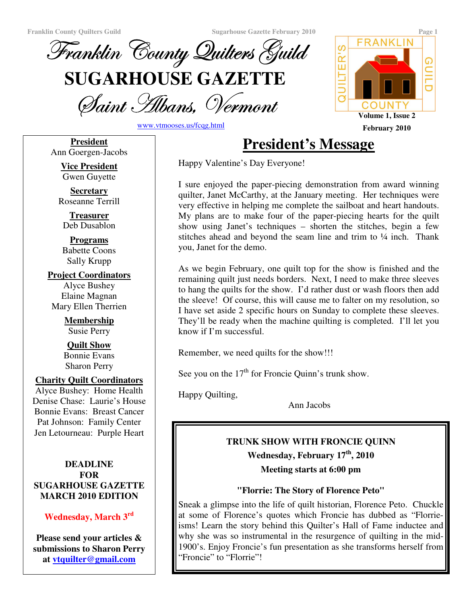**Franklin County Quilters Guild Sugarhouse Gazette February 2010 Page 1**





www.vtmooses.us/fcqg.html

**President** Ann Goergen-Jacobs

> **Vice President** Gwen Guyette

**Secretary** Roseanne Terrill

**Treasurer** Deb Dusablon

**Programs** Babette Coons Sally Krupp

**Project Coordinators** Alyce Bushey Elaine Magnan Mary Ellen Therrien

> **Membership** Susie Perry

**Quilt Show** Bonnie Evans Sharon Perry

#### **Charity Quilt Coordinators**

Alyce Bushey: Home Health Denise Chase: Laurie's House Bonnie Evans: Breast Cancer Pat Johnson: Family Center Jen Letourneau: Purple Heart

#### **DEADLINE FOR SUGARHOUSE GAZETTE MARCH 2010 EDITION**

# **Wednesday, March 3 rd**

**Please send your articles & submissions to Sharon Perry at vtquilter@gmail.com**

# **President's Message February 2010**

Happy Valentine's Day Everyone!

I sure enjoyed the paper-piecing demonstration from award winning quilter, Janet McCarthy, at the January meeting. Her techniques were very effective in helping me complete the sailboat and heart handouts. My plans are to make four of the paper-piecing hearts for the quilt show using Janet's techniques – shorten the stitches, begin a few stitches ahead and beyond the seam line and trim to  $\frac{1}{4}$  inch. Thank you, Janet for the demo.

As we begin February, one quilt top for the show is finished and the remaining quilt just needs borders. Next, I need to make three sleeves to hang the quilts for the show. I'd rather dust or wash floors then add the sleeve! Of course, this will cause me to falter on my resolution, so I have set aside 2 specific hours on Sunday to complete these sleeves. They'll be ready when the machine quilting is completed. I'll let you know if I'm successful.

Remember, we need quilts for the show!!!

See you on the  $17<sup>th</sup>$  for Froncie Quinn's trunk show.

Happy Quilting,

Ann Jacobs

# **TRUNK SHOW WITH FRONCIE QUINN**

**Wednesday, February 17 th , 2010 Meeting starts at 6:00 pm**

# **"Florrie: The Story of Florence Peto"**

Sneak a glimpse into the life of quilt historian, Florence Peto. Chuckle at some of Florence's quotes which Froncie has dubbed as "Florrieisms! Learn the story behind this Quilter's Hall of Fame inductee and why she was so instrumental in the resurgence of quilting in the mid-1900's. Enjoy Froncie's fun presentation as she transforms herself from "Froncie" to "Florrie"!

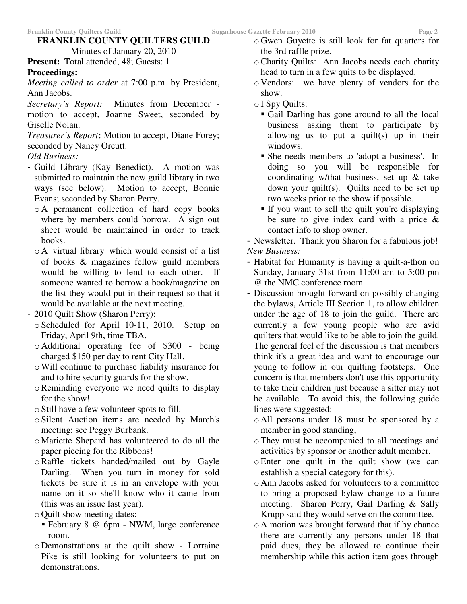#### **FRANKLIN COUNTY QUILTERS GUILD**

Minutes of January 20, 2010 **Present:** Total attended, 48; Guests: 1

## **Proceedings:**

*Meeting called to order* at 7:00 p.m. by President, Ann Jacobs.

*Secretary's Report:* Minutes from December motion to accept, Joanne Sweet, seconded by Giselle Nolan.

*Treasurer's Report***:** Motion to accept, Diane Forey; seconded by Nancy Orcutt.

## *Old Business:*

- Guild Library (Kay Benedict). A motion was submitted to maintain the new guild library in two ways (see below). Motion to accept, Bonnie Evans; seconded by Sharon Perry.
	- o A permanent collection of hard copy books where by members could borrow. A sign out sheet would be maintained in order to track books.
	- o A 'virtual library'which would consist of a list of books & magazines fellow guild members would be willing to lend to each other. If someone wanted to borrow a book/magazine on the list they would put in their request so that it would be available at the next meeting.
- 2010 Quilt Show (Sharon Perry):
	- o Scheduled for April 10-11, 2010. Setup on Friday, April 9th, time TBA.
	- o Additional operating fee of \$300 being charged \$150 per day to rent City Hall.
	- oWill continue to purchase liability insurance for and to hire security guards for the show.
	- oReminding everyone we need quilts to display for the show!
	- o Still have a few volunteer spots to fill.
	- o Silent Auction items are needed by March's meeting; see Peggy Burbank.
	- o Mariette Shepard has volunteered to do all the paper piecing for the Ribbons!
	- oRaffle tickets handed/mailed out by Gayle Darling. When you turn in money for sold tickets be sure it is in an envelope with your name on it so she'll know who it came from (this was an issue last year).
	- o Quilt show meeting dates:
	- February 8 @ 6pm NWM, large conference room.
	- o Demonstrations at the quilt show Lorraine Pike is still looking for volunteers to put on demonstrations.
- o Gwen Guyette is still look for fat quarters for the 3rd raffle prize.
- oCharity Quilts: Ann Jacobs needs each charity head to turn in a few quits to be displayed.
- o Vendors: we have plenty of vendors for the show.
- o I Spy Quilts:
	- Gail Darling has gone around to all the local business asking them to participate by allowing us to put a quilt(s) up in their windows.
	- She needs members to 'adopt a business'. In doing so you will be responsible for coordinating w/that business, set up & take down your quilt(s). Quilts need to be set up two weeks prior to the show if possible.
	- If you want to sell the quilt you're displaying be sure to give index card with a price & contact info to shop owner.

- Newsletter. Thank you Sharon for a fabulous job! *New Business:*

- Habitat for Humanity is having a quilt-a-thon on Sunday, January 31st from 11:00 am to 5:00 pm @ the NMC conference room.
- Discussion brought forward on possibly changing the bylaws, Article III Section 1, to allow children under the age of 18 to join the guild. There are currently a few young people who are avid quilters that would like to be able to join the guild. The general feel of the discussion is that members think it's a great idea and want to encourage our young to follow in our quilting footsteps. One concern is that members don't use this opportunity to take their children just because a sitter may not be available. To avoid this, the following guide lines were suggested:
	- o All persons under 18 must be sponsored by a member in good standing,
	- oThey must be accompanied to all meetings and activities by sponsor or another adult member.
	- oEnter one quilt in the quilt show (we can establish a special category for this).
	- o Ann Jacobs asked for volunteers to a committee to bring a proposed bylaw change to a future meeting. Sharon Perry, Gail Darling & Sally Krupp said they would serve on the committee.
	- o A motion was brought forward that if by chance there are currently any persons under 18 that paid dues, they be allowed to continue their membership while this action item goes through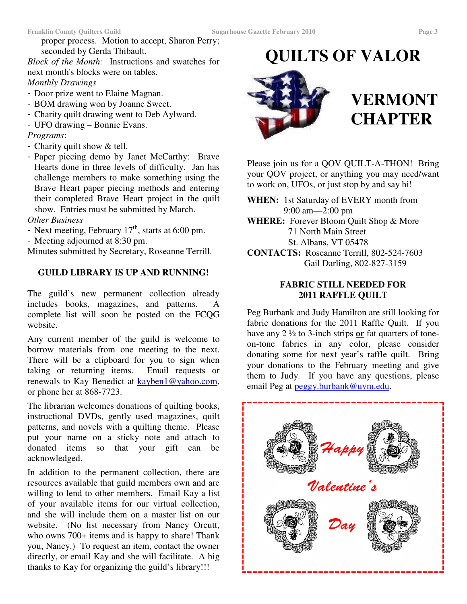proper process. Motion to accept, Sharon Perry; seconded by Gerda Thibault.

*Block of the Month:* Instructions and swatches for next month's blocks were on tables. *Monthly Drawings*

- Door prize went to Elaine Magnan.

- BOM drawing won by Joanne Sweet.
- Charity quilt drawing went to Deb Aylward.
- UFO drawing Bonnie Evans.

## *Programs*:

- Charity quilt show & tell.
- Paper piecing demo by Janet McCarthy: Brave Hearts done in three levels of difficulty. Jan has challenge members to make something using the Brave Heart paper piecing methods and entering their completed Brave Heart project in the quilt show. Entries must be submitted by March.

#### *Other Business*

- Next meeting, February  $17<sup>th</sup>$ , starts at 6:00 pm.
- Meeting adjourned at 8:30 pm.

Minutes submitted by Secretary, Roseanne Terrill.

#### **GUILD LIBRARY IS UP AND RUNNING!**

The guild's new permanent collection already includes books, magazines, and patterns. complete list will soon be posted on the FCQG website.

Any current member of the guild is welcome to borrow materials from one meeting to the next. There will be a clipboard for you to sign when taking or returning items. Email requests or renewals to Kay Benedict at kayben1@yahoo.com, or phone her at 868-7723.

The librarian welcomes donations of quilting books, instructional DVDs, gently used magazines, quilt patterns, and novels with a quilting theme. Please put your name on a sticky note and attach to donated items so that your gift can be acknowledged.

In addition to the permanent collection, there are resources available that guild members own and are willing to lend to other members. Email Kay a list of your available items for our virtual collection, and she will include them on a master list on our website. (No list necessary from Nancy Orcutt, who owns 700+ items and is happy to share! Thank you, Nancy.) To request an item, contact the owner directly, or email Kay and she will facilitate. A big thanks to Kay for organizing the guild's library!!!

# **QUILTS OF VALOR**



# **VERMONT CHAPTER**

Please join us for a QOV QUILT-A-THON! Bring your QOV project, or anything you may need/want to work on, UFOs, or just stop by and say hi!

**WHEN:** 1st Saturday of EVERY month from 9:00 am—2:00 pm

**WHERE:** Forever Bloom Quilt Shop & More 71 North Main Street St. Albans, VT 05478

**CONTACTS:** Roseanne Terrill, 802-524-7603 Gail Darling, 802-827-3159

#### **FABRIC STILL NEEDED FOR 2011 RAFFLE QUILT**

Peg Burbank and Judy Hamilton are still looking for fabric donations for the 2011 Raffle Quilt. If you have any 2 ½ to 3-inch strips **or** fat quarters of toneon-tone fabrics in any color, please consider donating some for next year's raffle quilt. Bring your donations to the February meeting and give them to Judy. If you have any questions, please email Peg at peggy.burbank@uvm.edu.

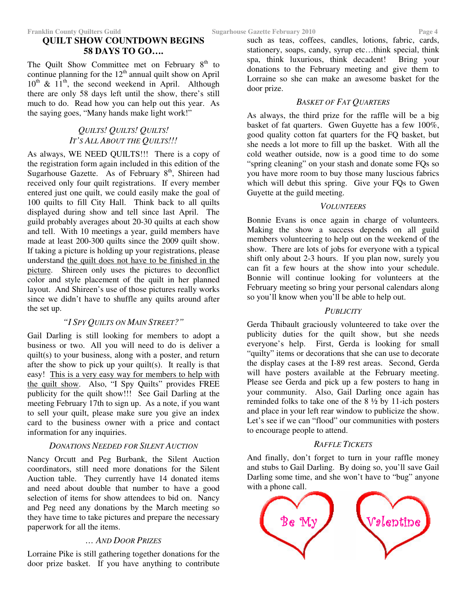The Quilt Show Committee met on February  $8<sup>th</sup>$  to continue planning for the  $12<sup>th</sup>$  annual quilt show on April 10<sup>th</sup> & 11<sup>th</sup>, the second weekend in April. Although there are only 58 days left until the show, there's still much to do. Read how you can help out this year. As the saying goes, "Many hands make light work!"

## *QUILTS! QUILTS! QUILTS! IT'S ALL ABOUT THE QUILTS!!!*

As always, WE NEED QUILTS!!! There is a copy of the registration form again included in this edition of the Sugarhouse Gazette. As of February 8<sup>th</sup>, Shireen had received only four quilt registrations. If every member entered just one quilt, we could easily make the goal of 100 quilts to fill City Hall. Think back to all quilts displayed during show and tell since last April. The guild probably averages about 20-30 quilts at each show and tell. With 10 meetings a year, guild members have made at least 200-300 quilts since the 2009 quilt show. If taking a picture is holding up your registrations, please understand the quilt does not have to be finished in the picture. Shireen only uses the pictures to deconflict color and style placement of the quilt in her planned layout. And Shireen's use of those pictures really works since we didn't have to shuffle any quilts around after the set up.

## *"I SPY QUILTS ON MAIN STREET?"*

Gail Darling is still looking for members to adopt a business or two. All you will need to do is deliver a quilt(s) to your business, along with a poster, and return after the show to pick up your quilt(s). It really is that easy! This is a very easy way for members to help with the quilt show. Also, "I Spy Quilts" provides FREE publicity for the quilt show!!! See Gail Darling at the meeting February 17th to sign up. As a note, if you want to sell your quilt, please make sure you give an index card to the business owner with a price and contact information for any inquiries.

## *DONATIONS NEEDED FOR SILENT AUCTION*

Nancy Orcutt and Peg Burbank, the Silent Auction coordinators, still need more donations for the Silent Auction table. They currently have 14 donated items and need about double that number to have a good selection of items for show attendees to bid on. Nancy and Peg need any donations by the March meeting so they have time to take pictures and prepare the necessary paperwork for all the items.

# *… AND DOOR PRIZES*

Lorraine Pike is still gathering together donations for the door prize basket. If you have anything to contribute such as teas, coffees, candles, lotions, fabric, cards, stationery, soaps, candy, syrup etc…think special, think spa, think luxurious, think decadent! Bring your donations to the February meeting and give them to Lorraine so she can make an awesome basket for the door prize.

## *BASKET OF FAT QUARTERS*

As always, the third prize for the raffle will be a big basket of fat quarters. Gwen Guyette has a few 100%, good quality cotton fat quarters for the FQ basket, but she needs a lot more to fill up the basket. With all the cold weather outside, now is a good time to do some "spring cleaning" on your stash and donate some FQs so you have more room to buy those many luscious fabrics which will debut this spring. Give your FQs to Gwen Guyette at the guild meeting.

## *VOLUNTEERS*

Bonnie Evans is once again in charge of volunteers. Making the show a success depends on all guild members volunteering to help out on the weekend of the show. There are lots of jobs for everyone with a typical shift only about 2-3 hours. If you plan now, surely you can fit a few hours at the show into your schedule. Bonnie will continue looking for volunteers at the February meeting so bring your personal calendars along so you'll know when you'll be able to help out.

#### *PUBLICITY*

Gerda Thibault graciously volunteered to take over the publicity duties for the quilt show, but she needs everyone's help. First, Gerda is looking for small "quilty" items or decorations that she can use to decorate the display cases at the I-89 rest areas. Second, Gerda will have posters available at the February meeting. Please see Gerda and pick up a few posters to hang in your community. Also, Gail Darling once again has reminded folks to take one of the 8 ½ by 11-ich posters and place in your left rear window to publicize the show. Let's see if we can "flood" our communities with posters to encourage people to attend.

## *RAFFLE TICKETS*

And finally, don't forget to turn in your raffle money and stubs to Gail Darling. By doing so, you'll save Gail Darling some time, and she won't have to "bug" anyone with a phone call.

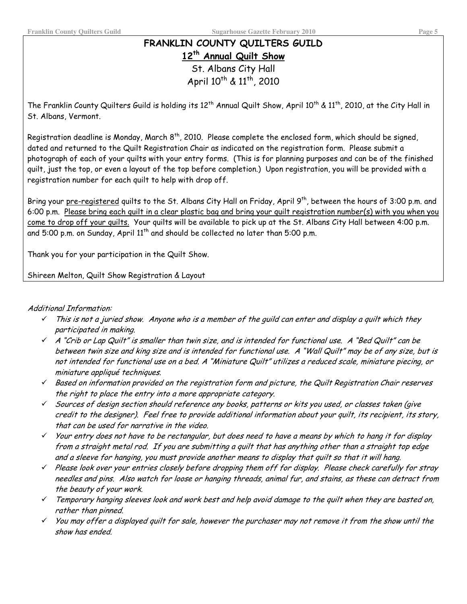# FRANKLIN COUNTY QUILTERS GUILD 12<sup>th</sup> Annual Quilt Show St. Albans City Hall

April 10<sup>th</sup> & 11<sup>th</sup>, 2010

The Franklin County Quilters Guild is holding its  $12^{\text{th}}$  Annual Quilt Show, April  $10^{\text{th}}$  &  $11^{\text{th}}$ , 2010, at the City Hall in St. Albans, Vermont.

Registration deadline is Monday, March 8<sup>th</sup>, 2010. Please complete the enclosed form, which should be signed, dated and returned to the Quilt Registration Chair as indicated on the registration form. Please submit a photograph of each of your quilts with your entry forms. (This is for planning purposes and can be of the finished quilt, just the top, or even a layout of the top before completion.) Upon registration, you will be provided with a registration number for each quilt to help with drop off.

Bring your pre-registered quilts to the St. Albans City Hall on Friday, April 9<sup>th</sup>, between the hours of 3:00 p.m. and 6:00 p.m. Please bring each quilt in a clear plastic bag and bring your quilt registration number(s) with you when you come to drop off your quilts. Your quilts will be available to pick up at the St. Albans City Hall between 4:00 p.m. and 5:00 p.m. on Sunday, April 11<sup>th</sup> and should be collected no later than 5:00 p.m.

Thank you for your participation in the Quilt Show.

Shireen Melton, Quilt Show Registration & Layout

#### Additional Information:

- This is not a juried show. Anyone who is a member of the quild can enter and display a quilt which they  $\checkmark$ participated in making.
- $\checkmark$  A "Crib or Lap Quilt" is smaller than twin size, and is intended for functional use, A "Bed Quilt" can be between twin size and king size and is intended for functional use. A "Wall Quilt" may be of any size, but is not intended for functional use on a bed. A "Miniature Quilt" utilizes a reduced scale, miniature piecing, or miniature appliqué techniques.
- $\checkmark$  Based on information provided on the registration form and picture, the Quilt Registration Chair reserves the right to place the entry into a more appropriate category.
- $\checkmark$  Sources of design section should reference any books, patterns or kits you used, or classes taken (give credit to the designer). Feel free to provide additional information about your quilt, its recipient, its story, that can be used for narrative in the video.
- $\checkmark$  Your entry does not have to be rectangular, but does need to have a means by which to hang it for display from a straight metal rod. If you are submitting a quilt that has anything other than a straight top edge and a sleeve for hanging, you must provide another means to display that quilt so that it will hang.
- $\checkmark$  Please look over your entries closely before dropping them off for display. Please check carefully for stray needles and pins. Also watch for loose or hanging threads, animal fur, and stains, as these can detract from the beauty of your work.
- $\checkmark$  Temporary hanging sleeves look and work best and help avoid damage to the quilt when they are basted on, rather than pinned.
- $\checkmark$  You may offer a displayed quilt for sale, however the purchaser may not remove it from the show until the show has ended.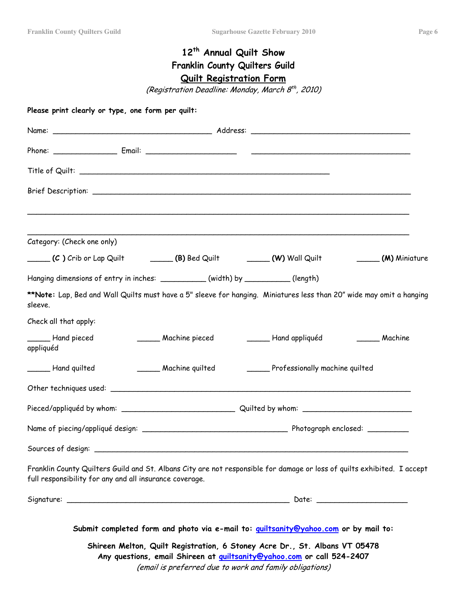# 12<sup>th</sup> Annual Quilt Show Franklin County Quilters Guild <u>Quilt Registration Forn</u>

(Registration Deadline: Monday, March 8<sup>th</sup>, 2010)

| Category: (Check one only)                                                                                                                                                         |                        |                                                                                                                                                                                                                        |               |
|------------------------------------------------------------------------------------------------------------------------------------------------------------------------------------|------------------------|------------------------------------------------------------------------------------------------------------------------------------------------------------------------------------------------------------------------|---------------|
| (C) Crib or Lap Quilt (B) Bed Quilt (W) Wall Quilt                                                                                                                                 |                        |                                                                                                                                                                                                                        | (M) Miniature |
| Hanging dimensions of entry in inches: __________(width) by _________(length)                                                                                                      |                        |                                                                                                                                                                                                                        |               |
| **Note: Lap, Bed and Wall Quilts must have a 5" sleeve for hanging. Miniatures less than 20" wide may omit a hanging<br>sleeve.                                                    |                        |                                                                                                                                                                                                                        |               |
| Check all that apply:                                                                                                                                                              |                        |                                                                                                                                                                                                                        |               |
| Hand pieced<br>appliquéd                                                                                                                                                           | _______ Machine pieced | Hand appliquéd                                                                                                                                                                                                         | Machine       |
| ______ Hand quilted                                                                                                                                                                |                        | Machine quilted Frofessionally machine quilted                                                                                                                                                                         |               |
|                                                                                                                                                                                    |                        |                                                                                                                                                                                                                        |               |
|                                                                                                                                                                                    |                        |                                                                                                                                                                                                                        |               |
|                                                                                                                                                                                    |                        |                                                                                                                                                                                                                        |               |
|                                                                                                                                                                                    |                        |                                                                                                                                                                                                                        |               |
| Franklin County Quilters Guild and St. Albans City are not responsible for damage or loss of quilts exhibited. I accept<br>full responsibility for any and all insurance coverage. |                        |                                                                                                                                                                                                                        |               |
|                                                                                                                                                                                    |                        |                                                                                                                                                                                                                        |               |
|                                                                                                                                                                                    |                        | Submit completed form and photo via e-mail to: quiltsanity@yahoo.com or by mail to:                                                                                                                                    |               |
|                                                                                                                                                                                    |                        | Shireen Melton, Quilt Registration, 6 Stoney Acre Dr., St. Albans VT 05478<br>Any questions, email Shireen at <b>guiltsanity@yahoo.com</b> or call 524-2407<br>(email is preferred due to work and family obligations) |               |